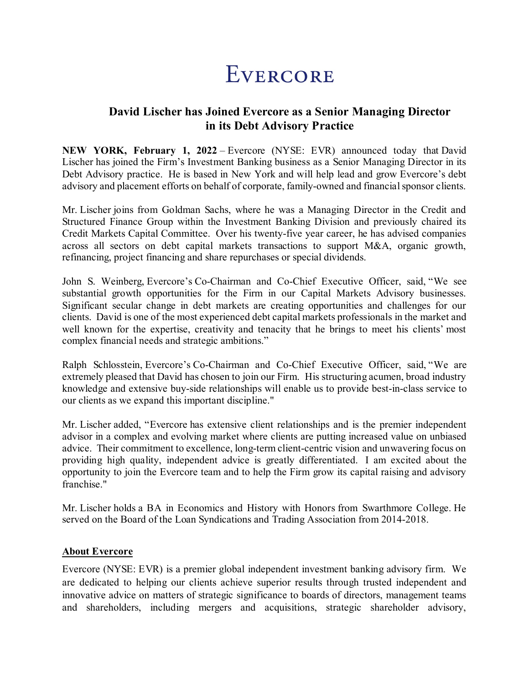## EVERCORE

## **David Lischer has Joined Evercore as a Senior Managing Director in its Debt Advisory Practice**

**NEW YORK, February 1, 2022** – Evercore (NYSE: EVR) announced today that David Lischer has joined the Firm's Investment Banking business as a Senior Managing Director in its Debt Advisory practice. He is based in New York and will help lead and grow Evercore's debt advisory and placement efforts on behalf of corporate, family-owned and financial sponsor clients.

Mr. Lischer joins from Goldman Sachs, where he was a Managing Director in the Credit and Structured Finance Group within the Investment Banking Division and previously chaired its Credit Markets Capital Committee. Over his twenty-five year career, he has advised companies across all sectors on debt capital markets transactions to support M&A, organic growth, refinancing, project financing and share repurchases or special dividends.

John S. Weinberg, Evercore's Co-Chairman and Co-Chief Executive Officer, said, "We see substantial growth opportunities for the Firm in our Capital Markets Advisory businesses. Significant secular change in debt markets are creating opportunities and challenges for our clients. David is one of the most experienced debt capital markets professionals in the market and well known for the expertise, creativity and tenacity that he brings to meet his clients' most complex financial needs and strategic ambitions."

Ralph Schlosstein, Evercore's Co-Chairman and Co-Chief Executive Officer, said, "We are extremely pleased that David has chosen to join our Firm. His structuring acumen, broad industry knowledge and extensive buy-side relationships will enable us to provide best-in-class service to our clients as we expand this important discipline."

Mr. Lischer added, "Evercore has extensive client relationships and is the premier independent advisor in a complex and evolving market where clients are putting increased value on unbiased advice. Their commitment to excellence, long-term client-centric vision and unwavering focus on providing high quality, independent advice is greatly differentiated. I am excited about the opportunity to join the Evercore team and to help the Firm grow its capital raising and advisory franchise."

Mr. Lischer holds a BA in Economics and History with Honors from Swarthmore College. He served on the Board of the Loan Syndications and Trading Association from 2014-2018.

## **About Evercore**

Evercore (NYSE: EVR) is a premier global independent investment banking advisory firm. We are dedicated to helping our clients achieve superior results through trusted independent and innovative advice on matters of strategic significance to boards of directors, management teams and shareholders, including mergers and acquisitions, strategic shareholder advisory,